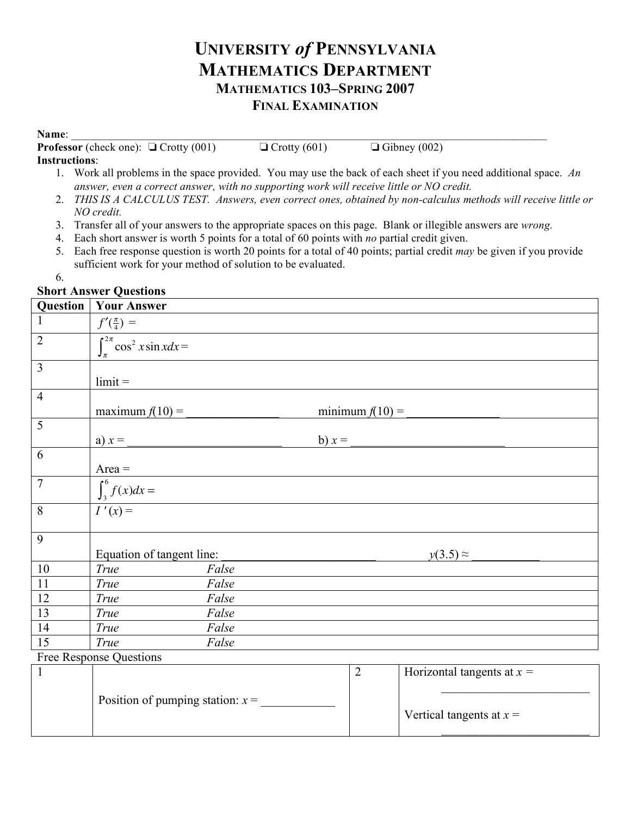# **UNIVERSITY** *of* **PENNSYLVANIA MATHEMATICS DEPARTMENT MATHEMATICS 103–SPRING 2007 FINAL EXAMINATION**

#### **Name**: \_\_\_\_\_\_\_\_\_\_\_\_\_\_\_\_\_\_\_\_\_\_\_\_\_\_\_\_\_\_\_\_\_\_\_\_\_\_\_\_\_\_\_\_\_\_\_\_\_\_\_\_\_\_\_\_\_\_\_\_\_\_\_\_\_\_\_\_\_\_\_\_\_\_\_\_\_\_\_\_\_\_\_\_

**Professor** (check one):  $\Box$  Crotty (001)  $\Box$  Crotty (601)  $\Box$  Gibney (002)

#### **Instructions**:

- 1. Work all problems in the space provided. You may use the back of each sheet if you need additional space. *An answer, even a correct answer, with no supporting work will receive little or NO credit.*
- 2. *THIS IS A CALCULUS TEST. Answers, even correct ones, obtained by non-calculus methods will receive little or NO credit.*
- 3. Transfer all of your answers to the appropriate spaces on this page. Blank or illegible answers are *wrong.*
- 4. Each short answer is worth 5 points for a total of 60 points with *no* partial credit given.
- 5. Each free response question is worth 20 points for a total of 40 points; partial credit *may* be given if you provide sufficient work for your method of solution to be evaluated.
- 6.

### **Short Answer Questions**

| Question                | <b>Your Answer</b>                                  |                |                              |
|-------------------------|-----------------------------------------------------|----------------|------------------------------|
| $\mathbf{1}$            | $f'(\frac{\pi}{4})$ =                               |                |                              |
| $\overline{2}$          | $\int_{\pi}^{2\pi} \overline{\cos^2 x \sin x dx} =$ |                |                              |
| $\overline{3}$          |                                                     |                |                              |
|                         | $limit =$                                           |                |                              |
| $\overline{4}$          |                                                     |                |                              |
|                         | maximum $f(10)$ =<br>minimum $f(10)$ =              |                |                              |
| 5                       |                                                     |                |                              |
|                         | a) $x =$<br>b) $x =$                                |                |                              |
| 6                       |                                                     |                |                              |
|                         | $Area =$                                            |                |                              |
| $\overline{7}$          | $\int_3^6 f(x)dx =$                                 |                |                              |
| 8                       | $I'(x) =$                                           |                |                              |
| 9                       |                                                     |                |                              |
|                         | Equation of tangent line:                           |                | $y(3.5) \approx$             |
| 10                      | True<br>False                                       |                |                              |
| 11                      | <b>True</b><br>False                                |                |                              |
| 12                      | True<br>False                                       |                |                              |
| 13                      | False<br>True                                       |                |                              |
| 14                      | True<br>False                                       |                |                              |
| 15                      | <b>True</b><br>False                                |                |                              |
| Free Response Questions |                                                     |                |                              |
| $\mathbf{1}$            |                                                     | $\overline{2}$ | Horizontal tangents at $x =$ |
|                         |                                                     |                |                              |
|                         | Position of pumping station: $x =$                  |                |                              |
|                         |                                                     |                | Vertical tangents at $x =$   |

 $\mathcal{L}_\text{max}$  , where  $\mathcal{L}_\text{max}$  , we have the set of  $\mathcal{L}_\text{max}$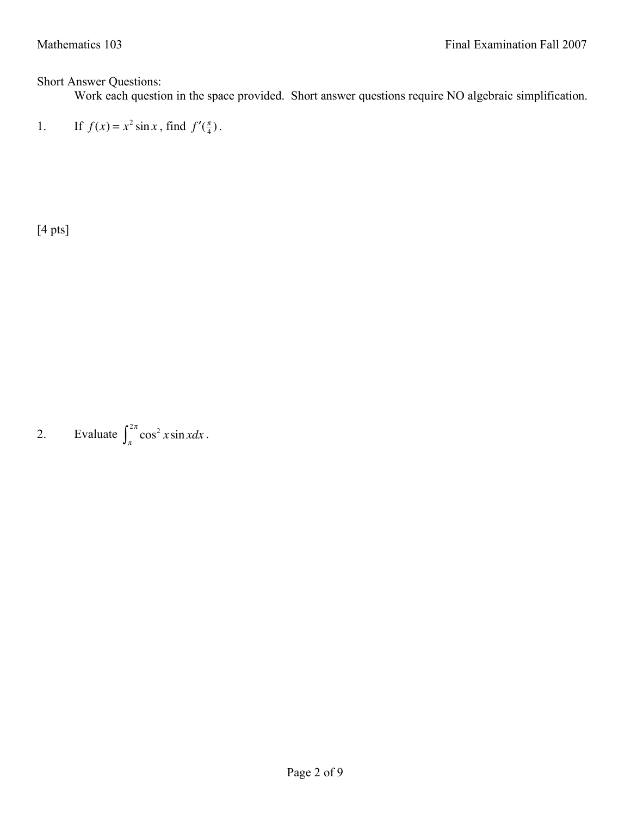## Short Answer Questions:

Work each question in the space provided. Short answer questions require NO algebraic simplification.

 $1<sub>l</sub>$  $f(x) = x^2 \sin x$ , find  $f'(\frac{\pi}{4})$ .

[4 pts]

2. Evaluate  $\int_{\pi}^{2\pi} \cos^2 x \sin x dx$  $\int_{\pi}^{2\pi} \cos^2 x \sin x dx$ .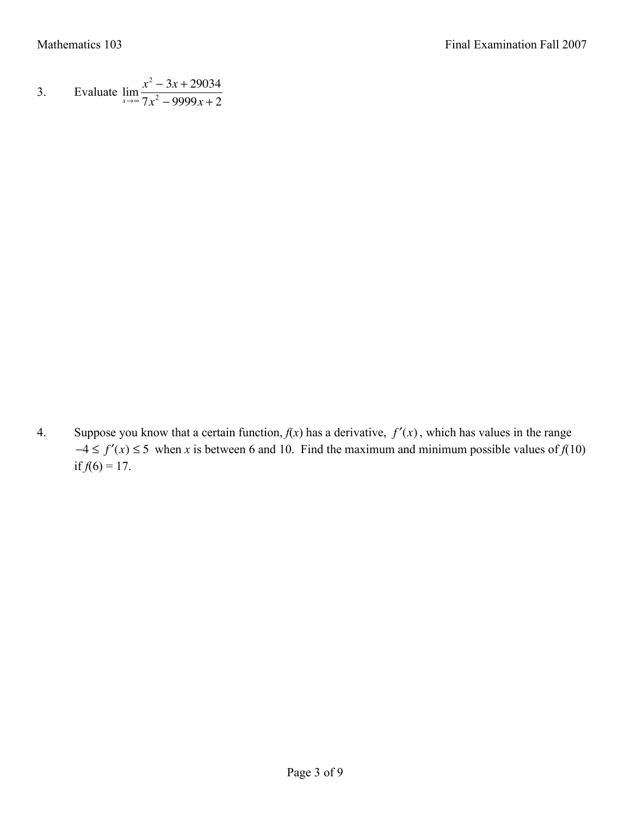3. Evaluate 
$$
\lim_{x \to \infty} \frac{x^2 - 3x + 29034}{7x^2 - 9999x + 2}
$$

4. Suppose you know that a certain function,  $f(x)$  has a derivative,  $f'(x)$ , which has values in the range  $-4 \le f'(x) \le 5$  when *x* is between 6 and 10. Find the maximum and minimum possible values of  $f(10)$ if  $f(6) = 17$ .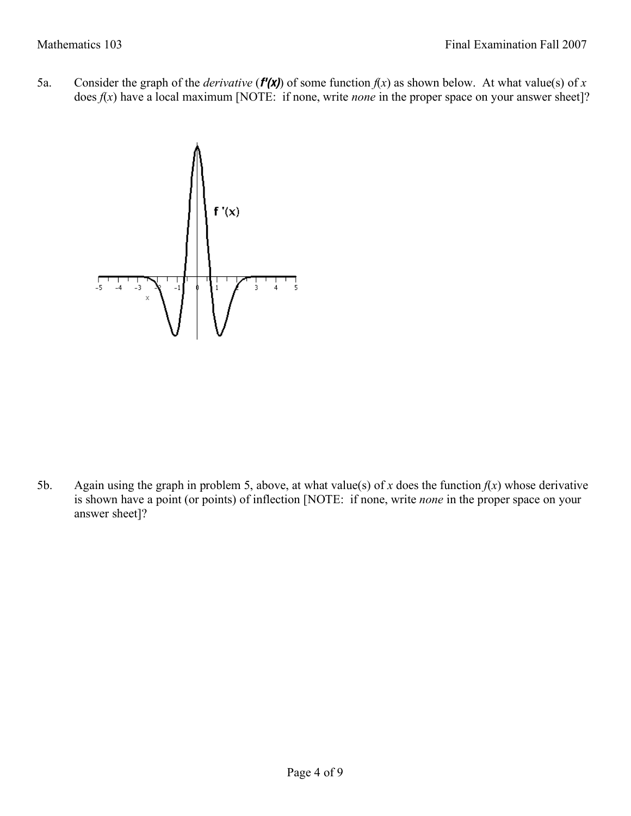5a. Consider the graph of the *derivative* ( $f'(x)$ ) of some function  $f(x)$  as shown below. At what value(s) of x does  $f(x)$  have a local maximum [NOTE: if none, write *none* in the proper space on your answer sheet]?



5b. Again using the graph in problem 5, above, at what value(s) of *x* does the function  $f(x)$  whose derivative is shown have a point (or points) of inflection [NOTE: if none, write *none* in the proper space on your answer sheet]?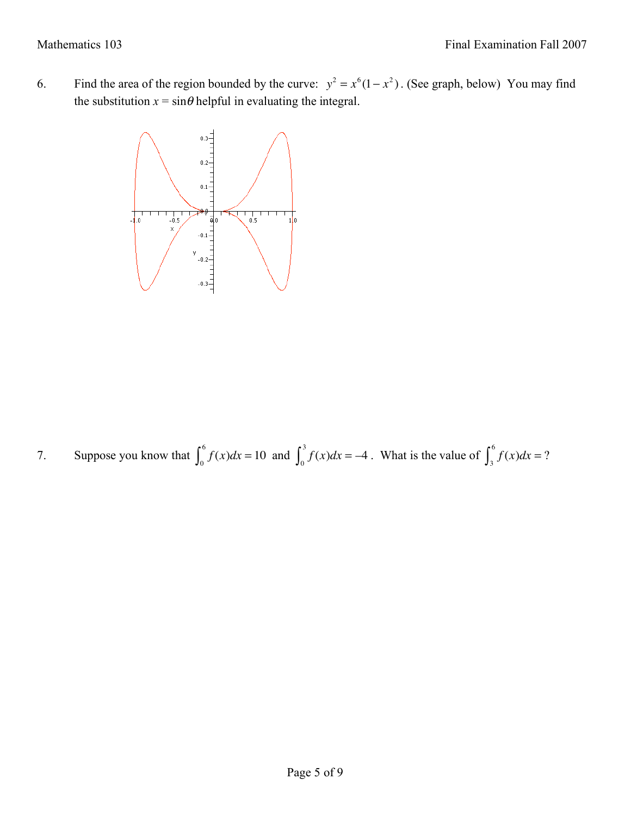6. Find the area of the region bounded by the curve:  $y^2 = x^6(1 - x^2)$ . (See graph, below) You may find the substitution  $x = \sin \theta$  helpful in evaluating the integral.



7. Suppose you know that  $\int_0^{\infty} f(x) dx = 10$  $\int_0^6 f(x)dx = 10$  and  $\int_0^3 f(x)dx = -4$  $\int_0^3 f(x)dx = -4$ . What is the value of  $\int_3^6 f(x)dx = ?$  $\int_3^6$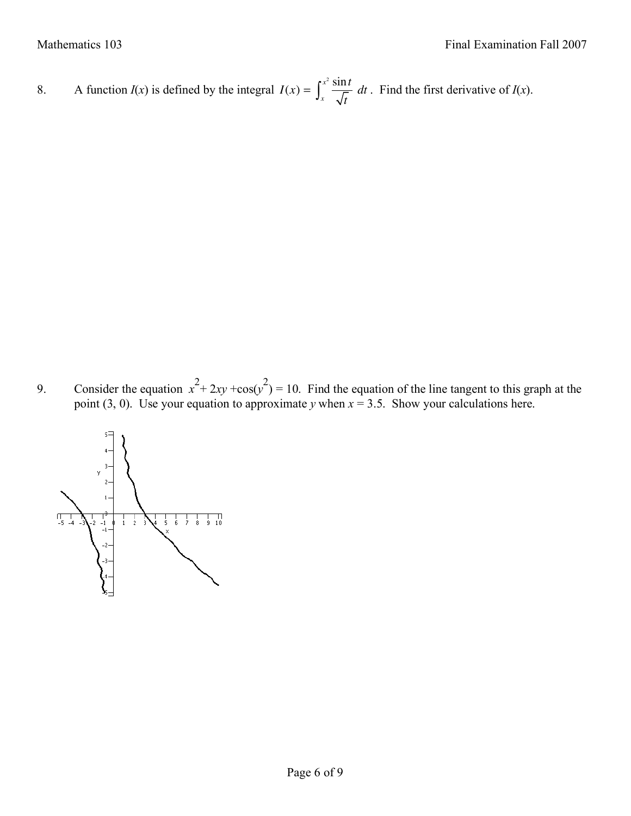8. A function  $I(x)$  is defined by the integral  $I(x) = \int_{0}^{x^2} \frac{\sin t}{\sqrt{t}}$  $\sqrt{x}$   $\sqrt{t}$  $\int_{x}^{x^2} \frac{\sin t}{\sqrt{t}} dt$ . Find the first derivative of *I*(*x*).

9. Consider the equation  $x^2 + 2xy + cos(y^2) = 10$ . Find the equation of the line tangent to this graph at the point (3, 0). Use your equation to approximate *y* when  $x = 3.5$ . Show your calculations here.

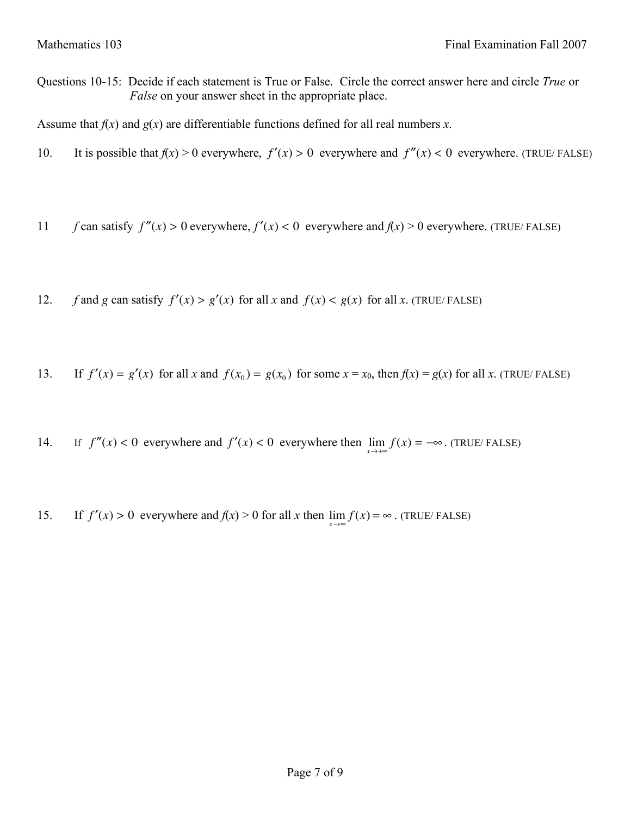Questions 10-15: Decide if each statement is True or False. Circle the correct answer here and circle *True* or *False* on your answer sheet in the appropriate place.

Assume that  $f(x)$  and  $g(x)$  are differentiable functions defined for all real numbers *x*.

- 10. It is possible that  $f(x) > 0$  everywhere,  $f'(x) > 0$  everywhere and  $f''(x) < 0$  everywhere. (TRUE/FALSE)
- 11 *f* can satisfy  $f''(x) > 0$  everywhere,  $f'(x) < 0$  everywhere and  $f(x) > 0$  everywhere. (TRUE/FALSE)
- 12. *f* and *g* can satisfy  $f'(x) > g'(x)$  for all *x* and  $f(x) < g(x)$  for all *x*. (TRUE/FALSE)
- 13. If  $f'(x) = g'(x)$  for all *x* and  $f(x_0) = g(x_0)$  for some  $x = x_0$ , then  $f(x) = g(x)$  for all *x*. (TRUE/FALSE)
- 14. If  $f''(x) < 0$  everywhere and  $f'(x) < 0$  everywhere then  $\lim_{x \to +\infty} f(x) = -\infty$ . (TRUE/FALSE)
- 15. If  $f'(x) > 0$  everywhere and  $f(x) > 0$  for all *x* then  $\lim_{x \to \infty} f(x) = \infty$ . (TRUE/FALSE)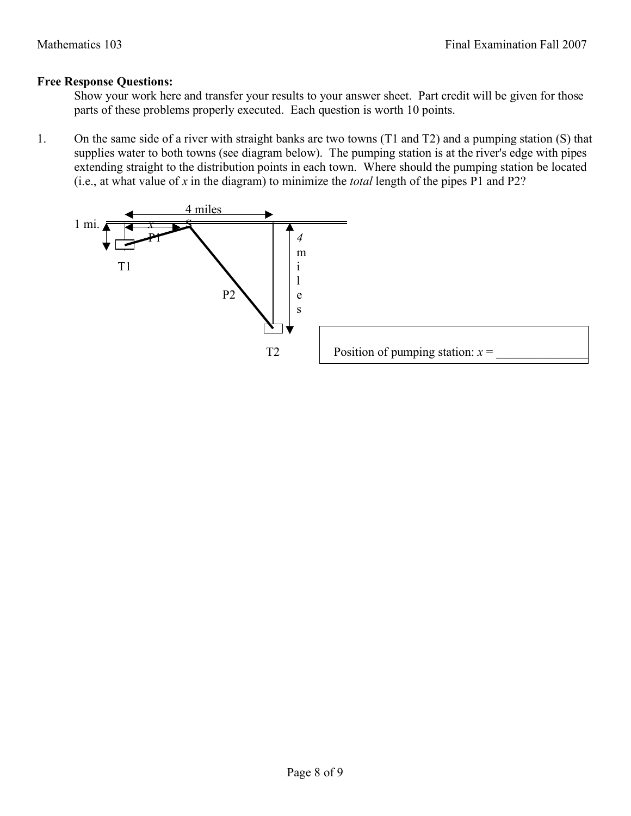### **Free Response Questions:**

Show your work here and transfer your results to your answer sheet. Part credit will be given for those parts of these problems properly executed. Each question is worth 10 points.

1. On the same side of a river with straight banks are two towns (T1 and T2) and a pumping station (S) that supplies water to both towns (see diagram below). The pumping station is at the river's edge with pipes extending straight to the distribution points in each town. Where should the pumping station be located (i.e., at what value of *x* in the diagram) to minimize the *total* length of the pipes P1 and P2?